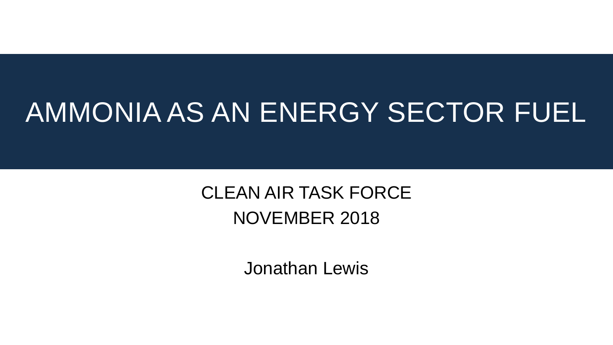#### AMMONIA AS AN ENERGY SECTOR FUEL

#### CLEAN AIR TASK FORCE NOVEMBER 2018

Jonathan Lewis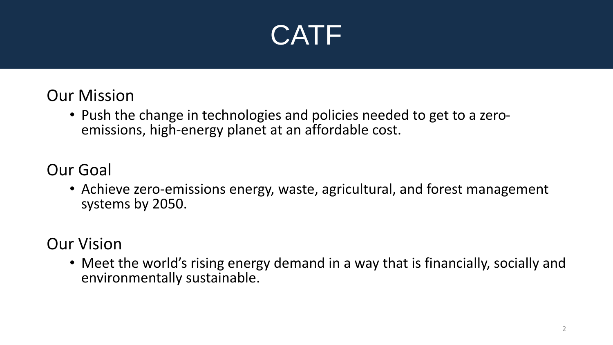

#### Our Mission

• Push the change in technologies and policies needed to get to a zeroemissions, high-energy planet at an affordable cost.

#### Our Goal

• Achieve zero-emissions energy, waste, agricultural, and forest management systems by 2050.

#### Our Vision

• Meet the world's rising energy demand in a way that is financially, socially and environmentally sustainable.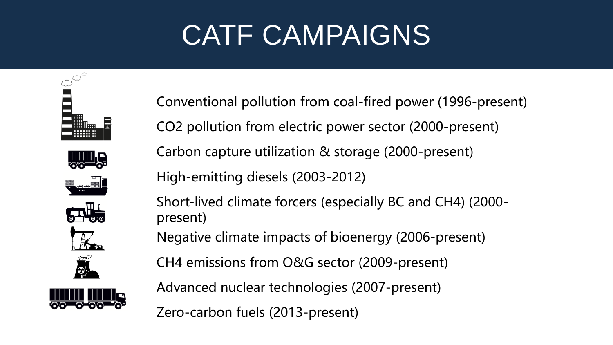### CATF CAMPAIGNS



Conventional pollution from coal-fired power (1996-present) CO2 pollution from electric power sector (2000-present) Carbon capture utilization & storage (2000-present) High-emitting diesels (2003-2012) Short-lived climate forcers (especially BC and CH4) (2000 present) Negative climate impacts of bioenergy (2006-present)

CH4 emissions from O&G sector (2009-present)

Advanced nuclear technologies (2007-present)

Zero-carbon fuels (2013-present)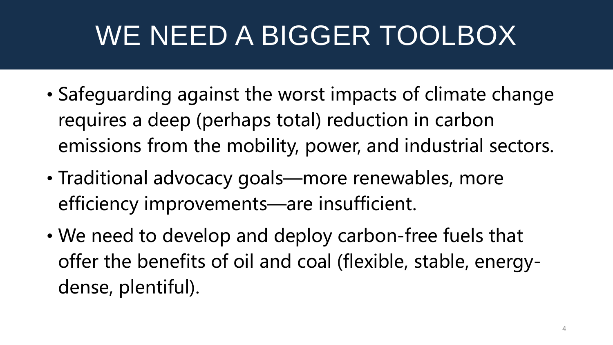### WE NEED A BIGGER TOOLBOX

- Safeguarding against the worst impacts of climate change requires a deep (perhaps total) reduction in carbon emissions from the mobility, power, and industrial sectors.
- Traditional advocacy goals—more renewables, more efficiency improvements—are insufficient.
- We need to develop and deploy carbon-free fuels that offer the benefits of oil and coal (flexible, stable, energydense, plentiful).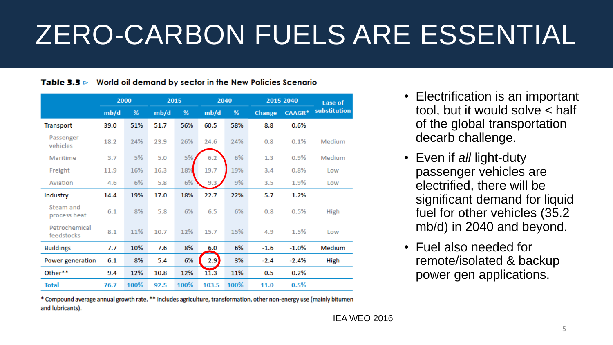### ZERO-CARBON FUELS ARE ESSENTIAL

#### **Table 3.3**  $\triangleright$  World oil demand by sector in the New Policies Scenario

|                             | 2000 |      | 2015 |      | 2040  |      | 2015-2040     |               | <b>Ease of</b> |
|-----------------------------|------|------|------|------|-------|------|---------------|---------------|----------------|
|                             | mb/d | %    | mb/d | %    | mb/d  | %    | <b>Change</b> | <b>CAAGR*</b> | substitution   |
| Transport                   | 39.0 | 51%  | 51.7 | 56%  | 60.5  | 58%  | 8.8           | 0.6%          |                |
| Passenger<br>vehicles       | 18.2 | 24%  | 23.9 | 26%  | 24.6  | 24%  | 0.8           | 0.1%          | Medium         |
| Maritime                    | 3.7  | 5%   | 5.0  | 5%   | 6.2   | 6%   | 1.3           | 0.9%          | Medium         |
| Freight                     | 11.9 | 16%  | 16.3 | 18%  | 19.7  | 19%  | 3.4           | 0.8%          | Low            |
| Aviation                    | 4.6  | 6%   | 5.8  | 6%   | 9.3   | 9%   | 3.5           | 1.9%          | Low            |
| Industry                    | 14.4 | 19%  | 17.0 | 18%  | 22.7  | 22%  | 5.7           | 1.2%          |                |
| Steam and<br>process heat   | 6.1  | 8%   | 5.8  | 6%   | 6.5   | 6%   | 0.8           | 0.5%          | High           |
| Petrochemical<br>feedstocks | 8.1  | 11%  | 10.7 | 12%  | 15.7  | 15%  | 4.9           | 1.5%          | Low            |
| <b>Buildings</b>            | 7.7  | 10%  | 7.6  | 8%   | 6.0   | 6%   | $-1.6$        | $-1.0%$       | Medium         |
| Power generation            | 6.1  | 8%   | 5.4  | 6%   | 2.9   | 3%   | $-2.4$        | $-2.4%$       | High           |
| Other**                     | 9.4  | 12%  | 10.8 | 12%  | 11.3  | 11%  | 0.5           | 0.2%          |                |
| <b>Total</b>                | 76.7 | 100% | 92.5 | 100% | 103.5 | 100% | 11.0          | 0.5%          |                |

- Electrification is an important tool, but it would solve < half of the global transportation decarb challenge.
- Even if *all* light-duty passenger vehicles are electrified, there will be significant demand for liquid fuel for other vehicles (35.2 mb/d) in 2040 and beyond.
- Fuel also needed for remote/isolated & backup power gen applications.

\* Compound average annual growth rate. \*\* Includes agriculture, transformation, other non-energy use (mainly bitumen and lubricants).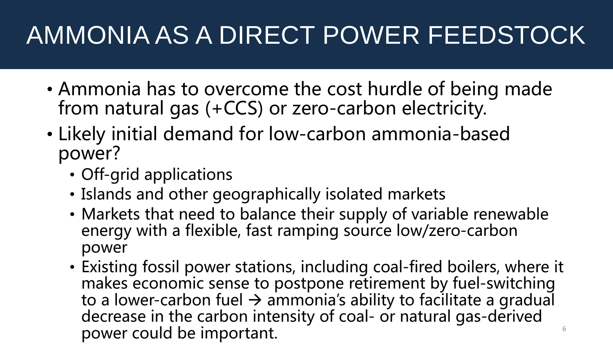#### AMMONIA AS A DIRECT POWER FEEDSTOCK

- Ammonia has to overcome the cost hurdle of being made from natural gas (+CCS) or zero-carbon electricity.
- Likely initial demand for low-carbon ammonia-based power?
	- Off-grid applications
	- Islands and other geographically isolated markets
	- Markets that need to balance their supply of variable renewable energy with a flexible, fast ramping source low/zero-carbon power
	- Existing fossil power stations, including coal-fired boilers, where it makes economic sense to postpone retirement by fuel-switching to a lower-carbon fuel  $\rightarrow$  ammonia's ability to facilitate a gradual decrease in the carbon intensity of coal- or natural gas-derived power could be important.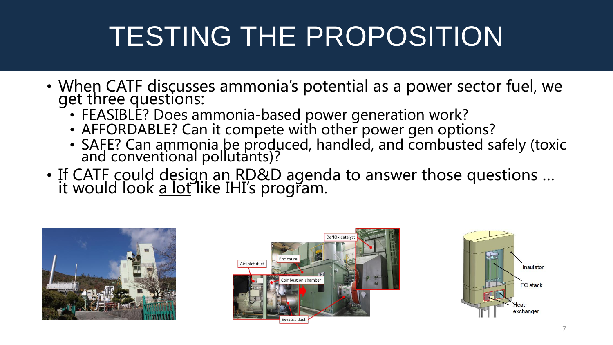## TESTING THE PROPOSITION

- When CATF discusses ammonia's potential as a power sector fuel, we get three questions:
	- FEASIBLE? Does ammonia-based power generation work?
	- AFFORDABLE? Can it compete with other power gen options?
	- SAFE? Can ammonia be produced, handled, and combusted safely (toxic and conventional pollutants)?
- If CATF could design an RD&D agenda to answer those questions ... it would look <u>a lot</u> like IHI's program.





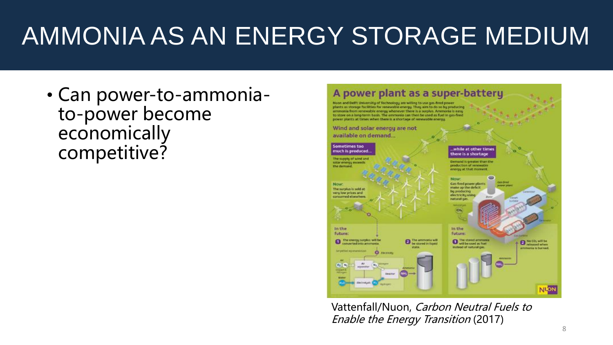#### AMMONIA AS AN ENERGY STORAGE MEDIUM

• Can power-to-ammoniato-power become economically competitive?



Vattenfall/Nuon, Carbon Neutral Fuels to Enable the Energy Transition (2017)